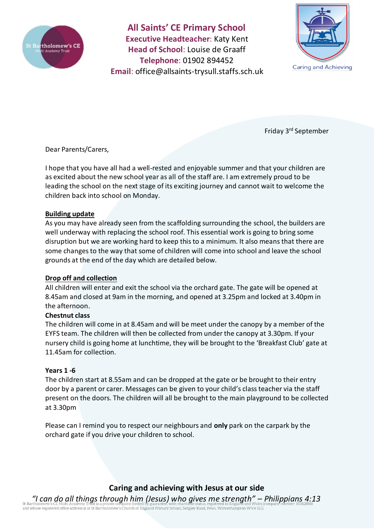

**All Saints' CE Primary School Executive Headteacher**: Katy Kent **Head of School**: Louise de Graaff **Telephone**: 01902 894452 **Email**: [office@allsaints-trysull.staffs.sch.uk](mailto:office@allsaints-trysull.staffs.sch.uk)



Friday 3rd September

Dear Parents/Carers,

I hope that you have all had a well-rested and enjoyable summer and that your children are as excited about the new school year as all of the staff are. I am extremely proud to be leading the school on the next stage of its exciting journey and cannot wait to welcome the children back into school on Monday.

### **Building update**

As you may have already seen from the scaffolding surrounding the school, the builders are well underway with replacing the school roof. This essential work is going to bring some disruption but we are working hard to keep this to a minimum. It also means that there are some changes to the way that some of children will come into school and leave the school grounds at the end of the day which are detailed below.

### **Drop off and collection**

All children will enter and exit the school via the orchard gate. The gate will be opened at 8.45am and closed at 9am in the morning, and opened at 3.25pm and locked at 3.40pm in the afternoon.

### **Chestnut class**

The children will come in at 8.45am and will be meet under the canopy by a member of the EYFS team. The children will then be collected from under the canopy at 3.30pm. If your nursery child is going home at lunchtime, they will be brought to the 'Breakfast Club' gate at 11.45am for collection.

### **Years 1 -6**

The children start at 8.55am and can be dropped at the gate or be brought to their entry door by a parent or carer. Messages can be given to your child's class teacher via the staff present on the doors. The children will all be brought to the main playground to be collected at 3.30pm

Please can I remind you to respect our neighbours and **only** park on the carpark by the orchard gate if you drive your children to school.

**Caring and achieving with Jesus at our side**

*"I can do all things through him (Jesus) who gives me strength" – Philippians 4:13* such and whose registered office address is at St Bartholomew's Church of England Primary School, Sedgley Road, Penn, Wolverhampton WV4 5LG.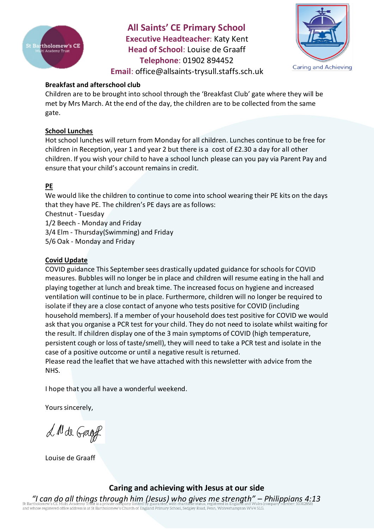

**All Saints' CE Primary School Executive Headteacher**: Katy Kent **Head of School**: Louise de Graaff **Telephone**: 01902 894452 **Email**: [office@allsaints-trysull.staffs.sch.uk](mailto:office@allsaints-trysull.staffs.sch.uk)



# **Breakfast and afterschool club**

Children are to be brought into school through the 'Breakfast Club' gate where they will be met by Mrs March. At the end of the day, the children are to be collected from the same gate.

## **School Lunches**

Hot school lunches will return from Monday for all children. Lunches continue to be free for children in Reception, year 1 and year 2 but there is a cost of £2.30 a day for all other children. If you wish your child to have a school lunch please can you pay via Parent Pay and ensure that your child's account remains in credit.

# **PE**

We would like the children to continue to come into school wearing their PE kits on the days that they have PE. The children's PE days are as follows:

Chestnut - Tuesday

1/2 Beech - Monday and Friday

3/4 Elm - Thursday(Swimming) and Friday

5/6 Oak - Monday and Friday

## **Covid Update**

COVID guidance This September sees drastically updated guidance for schools for COVID measures. Bubbles will no longer be in place and children will resume eating in the hall and playing together at lunch and break time. The increased focus on hygiene and increased ventilation will continue to be in place. Furthermore, children will no longer be required to isolate if they are a close contact of anyone who tests positive for COVID (including household members). If a member of your household does test positive for COVID we would ask that you organise a PCR test for your child. They do not need to isolate whilst waiting for the result. If children display one of the 3 main symptoms of COVID (high temperature, persistent cough or loss of taste/smell), they will need to take a PCR test and isolate in the case of a positive outcome or until a negative result is returned.

Please read the leaflet that we have attached with this newsletter with advice from the NHS.

I hope that you all have a wonderful weekend.

Yours sincerely,

L M de Gagef

Louise de Graaff

**Caring and achieving with Jesus at our side**

*"I can do all things through him (Jesus) who gives me strength" – Philippians 4:13* or barrinously of the statement of the state of the company initiated by guaranties; wide conductively procedure in children and whose registered office address is at St Bartholomew's Church of England Primary School, Sedg